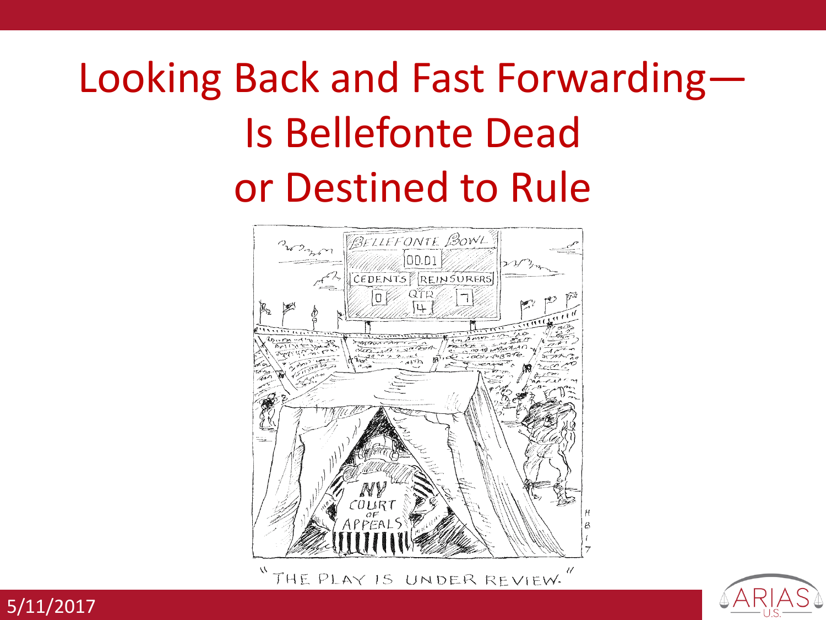# Looking Back and Fast Forwarding— Is Bellefonte Dead or Destined to Rule



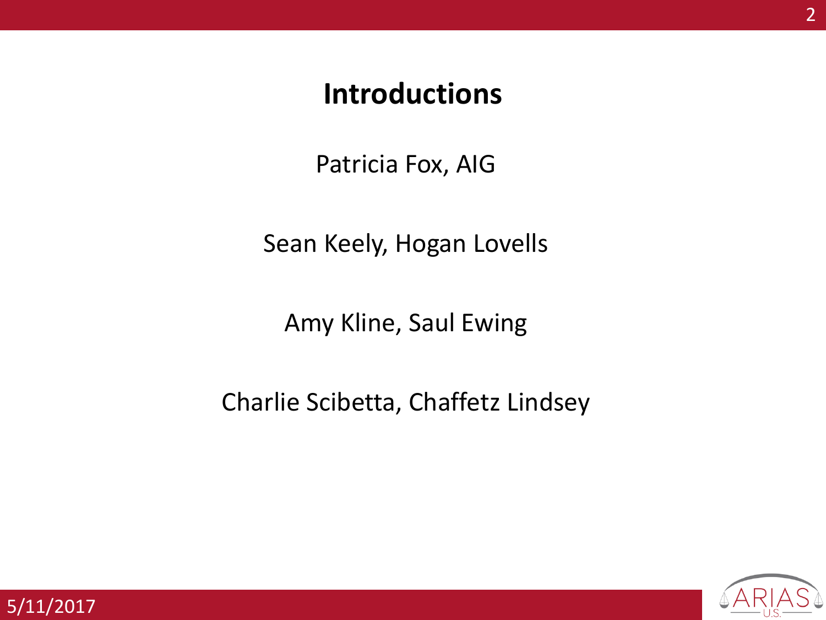#### **Introductions**

Patricia Fox, AIG

Sean Keely, Hogan Lovells

Amy Kline, Saul Ewing

Charlie Scibetta, Chaffetz Lindsey

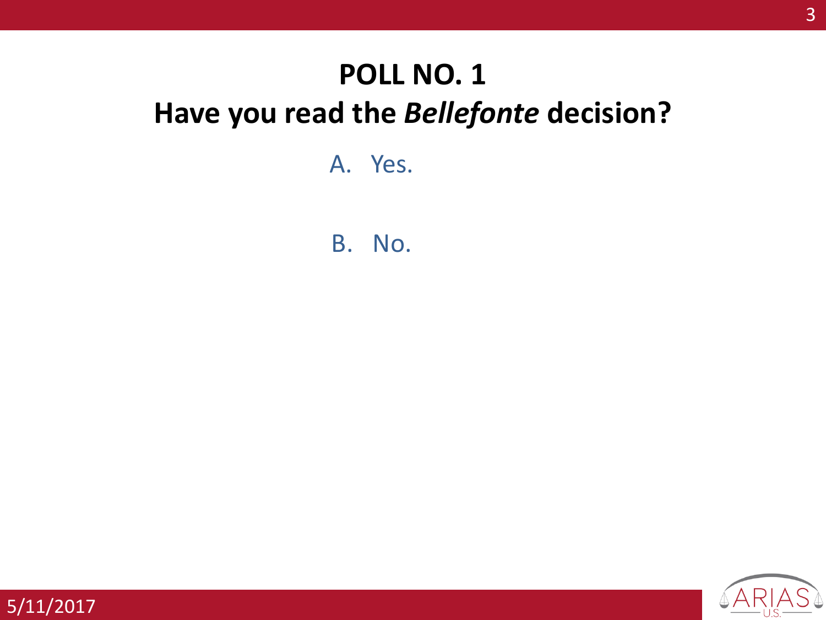# **POLL NO. 1 Have you read the** *Bellefonte* **decision?**

A. Yes.

B. No.

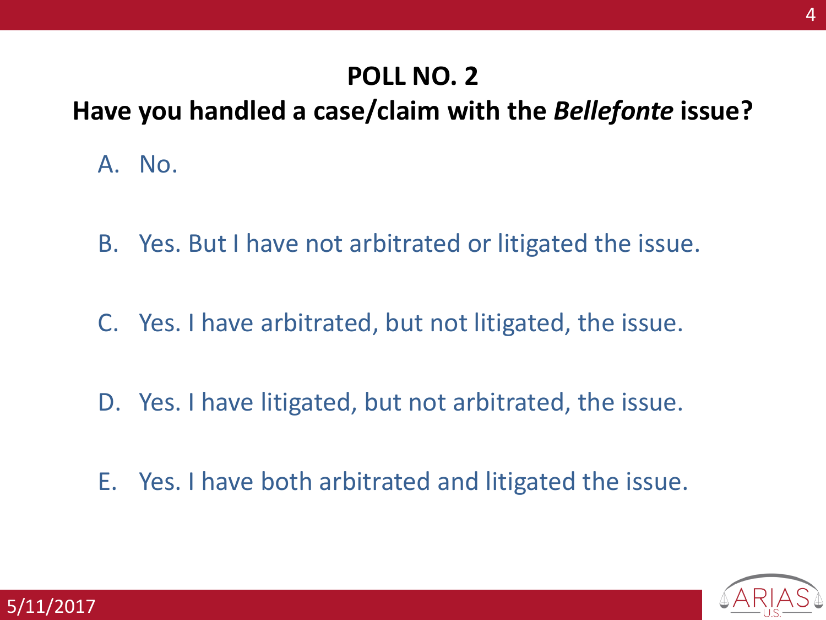#### **POLL NO. 2**

#### **Have you handled a case/claim with the** *Bellefonte* **issue?**

- A. No.
- B. Yes. But I have not arbitrated or litigated the issue.
- C. Yes. I have arbitrated, but not litigated, the issue.
- D. Yes. I have litigated, but not arbitrated, the issue.
- E. Yes. I have both arbitrated and litigated the issue.

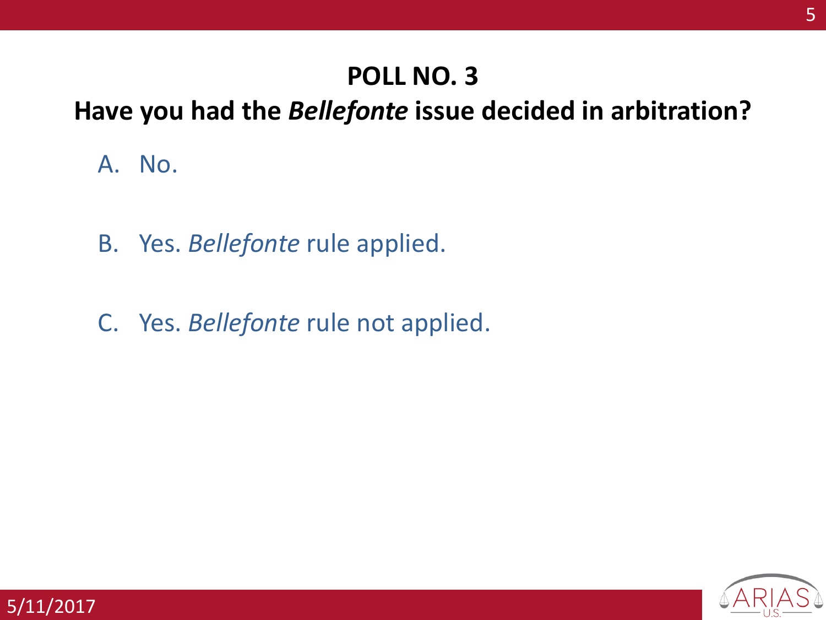#### **POLL NO. 3**

#### **Have you had the** *Bellefonte* **issue decided in arbitration?**

A. No.

- B. Yes. *Bellefonte* rule applied.
- C. Yes. *Bellefonte* rule not applied.

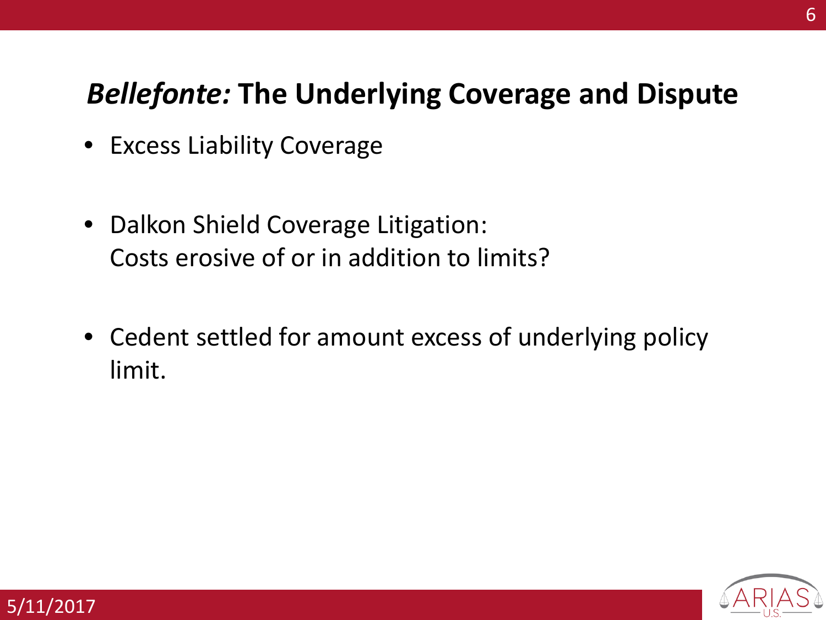## *Bellefonte:* **The Underlying Coverage and Dispute**

- Excess Liability Coverage
- Dalkon Shield Coverage Litigation: Costs erosive of or in addition to limits?
- Cedent settled for amount excess of underlying policy limit.



6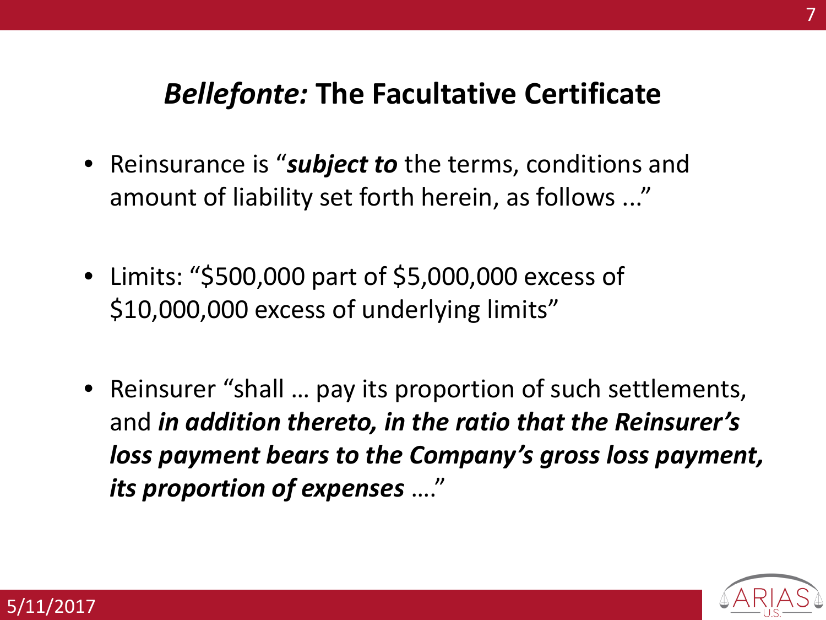## *Bellefonte:* **The Facultative Certificate**

- Reinsurance is "*subject to* the terms, conditions and amount of liability set forth herein, as follows ..."
- Limits: "\$500,000 part of \$5,000,000 excess of \$10,000,000 excess of underlying limits"
- Reinsurer "shall ... pay its proportion of such settlements, and *in addition thereto, in the ratio that the Reinsurer's loss payment bears to the Company's gross loss payment, its proportion of expenses* …."



7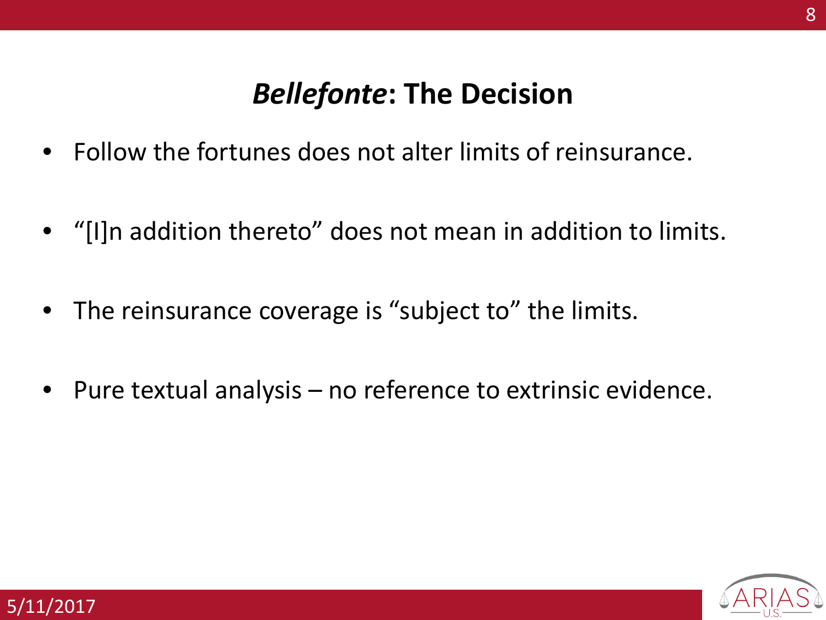## *Bellefonte***: The Decision**

- Follow the fortunes does not alter limits of reinsurance.
- "[I]n addition thereto" does not mean in addition to limits.
- The reinsurance coverage is "subject to" the limits.
- Pure textual analysis no reference to extrinsic evidence.

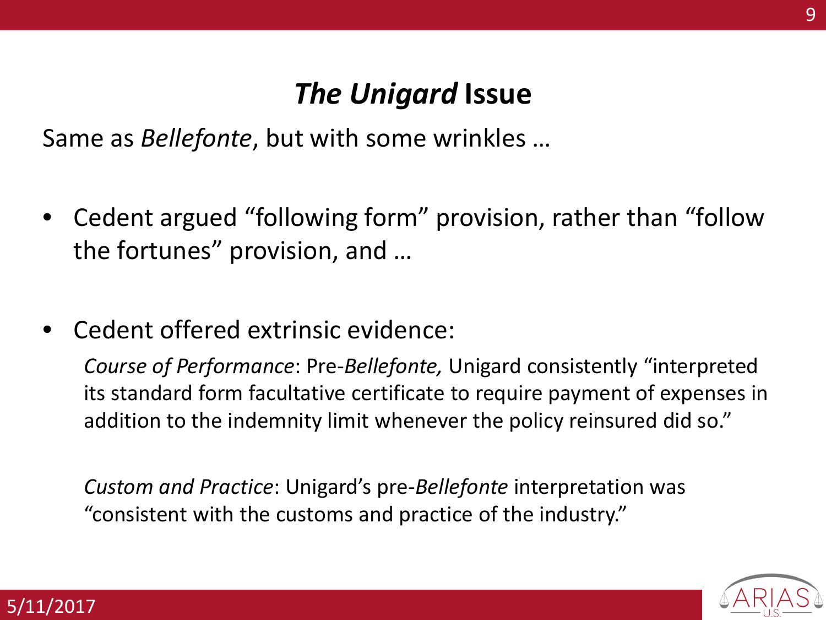# *The Unigard* **Issue**

Same as *Bellefonte*, but with some wrinkles …

- Cedent argued "following form" provision, rather than "follow the fortunes" provision, and …
- Cedent offered extrinsic evidence:

*Course of Performance*: Pre-*Bellefonte,* Unigard consistently "interpreted its standard form facultative certificate to require payment of expenses in addition to the indemnity limit whenever the policy reinsured did so."

*Custom and Practice*: Unigard's pre-*Bellefonte* interpretation was "consistent with the customs and practice of the industry."

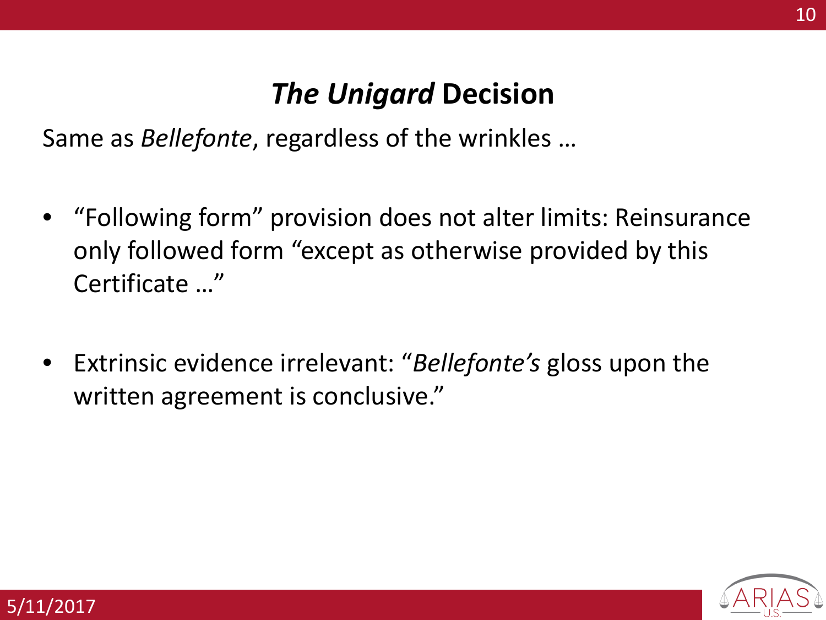# *The Unigard* **Decision**

Same as *Bellefonte*, regardless of the wrinkles …

- "Following form" provision does not alter limits: Reinsurance only followed form "except as otherwise provided by this Certificate …"
- Extrinsic evidence irrelevant: "*Bellefonte's* gloss upon the written agreement is conclusive."

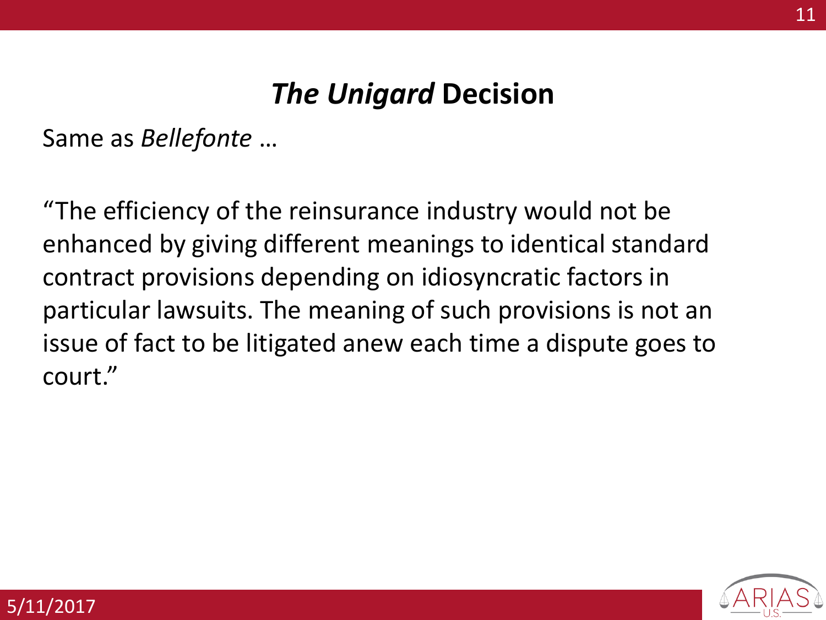# *The Unigard* **Decision**

Same as *Bellefonte* …

"The efficiency of the reinsurance industry would not be enhanced by giving different meanings to identical standard contract provisions depending on idiosyncratic factors in particular lawsuits. The meaning of such provisions is not an issue of fact to be litigated anew each time a dispute goes to court."

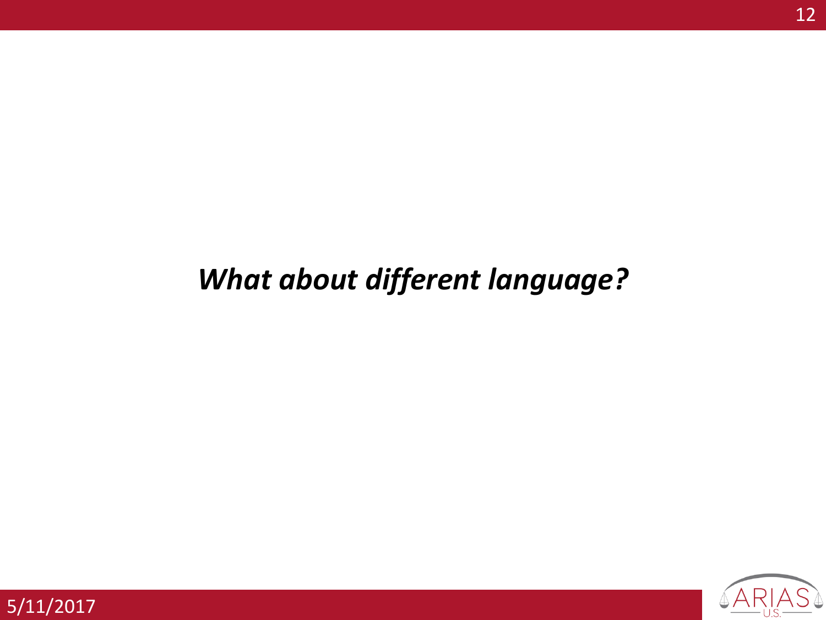# *What about different language?*

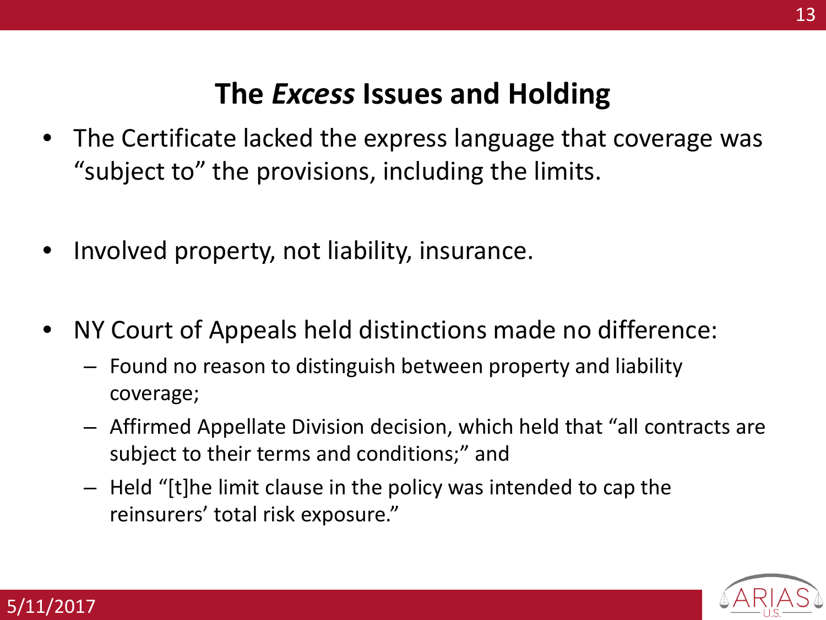## **The** *Excess* **Issues and Holding**

- The Certificate lacked the express language that coverage was "subject to" the provisions, including the limits.
- Involved property, not liability, insurance.

- NY Court of Appeals held distinctions made no difference:
	- Found no reason to distinguish between property and liability coverage;
	- Affirmed Appellate Division decision, which held that "all contracts are subject to their terms and conditions;" and
	- Held "[t]he limit clause in the policy was intended to cap the reinsurers' total risk exposure."

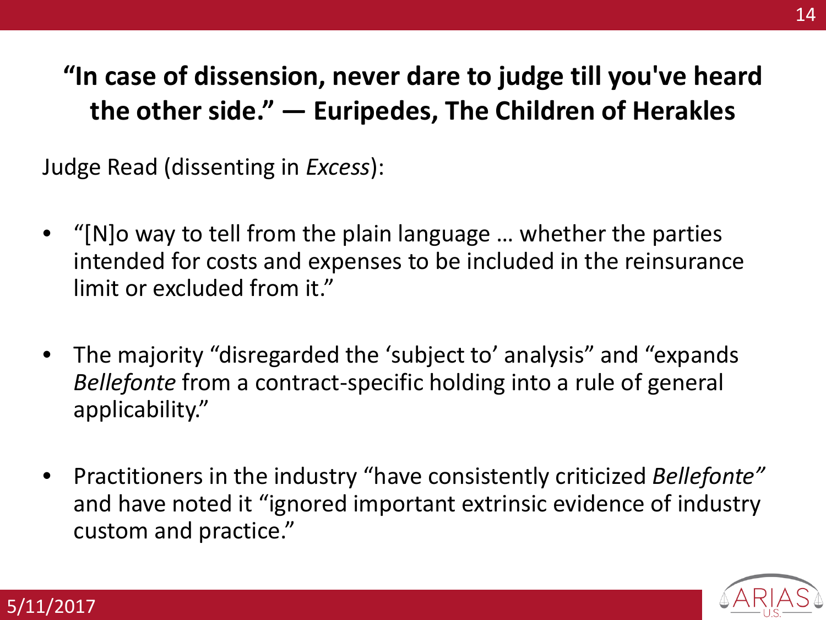## **"In case of dissension, never dare to judge till you've heard the other side." ― Euripedes, The Children of Herakles**

Judge Read (dissenting in *Excess*):

- "[N]o way to tell from the plain language … whether the parties intended for costs and expenses to be included in the reinsurance limit or excluded from it."
- The majority "disregarded the 'subject to' analysis" and "expands *Bellefonte* from a contract-specific holding into a rule of general applicability."
- Practitioners in the industry "have consistently criticized *Bellefonte"*  and have noted it "ignored important extrinsic evidence of industry custom and practice."

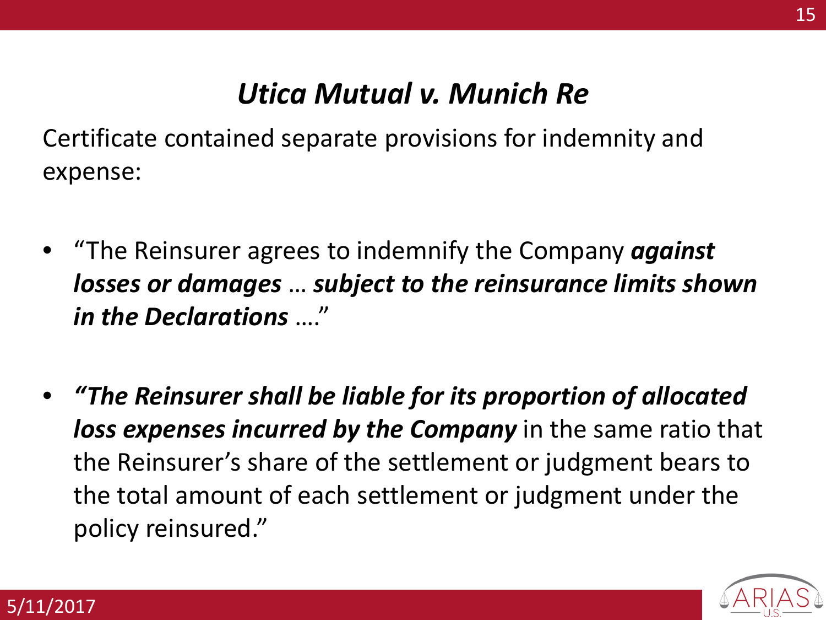### *Utica Mutual v. Munich Re*

Certificate contained separate provisions for indemnity and expense:

- "The Reinsurer agrees to indemnify the Company *against losses or damages* … *subject to the reinsurance limits shown in the Declarations* …."
- *"The Reinsurer shall be liable for its proportion of allocated loss expenses incurred by the Company* in the same ratio that the Reinsurer's share of the settlement or judgment bears to the total amount of each settlement or judgment under the policy reinsured."



15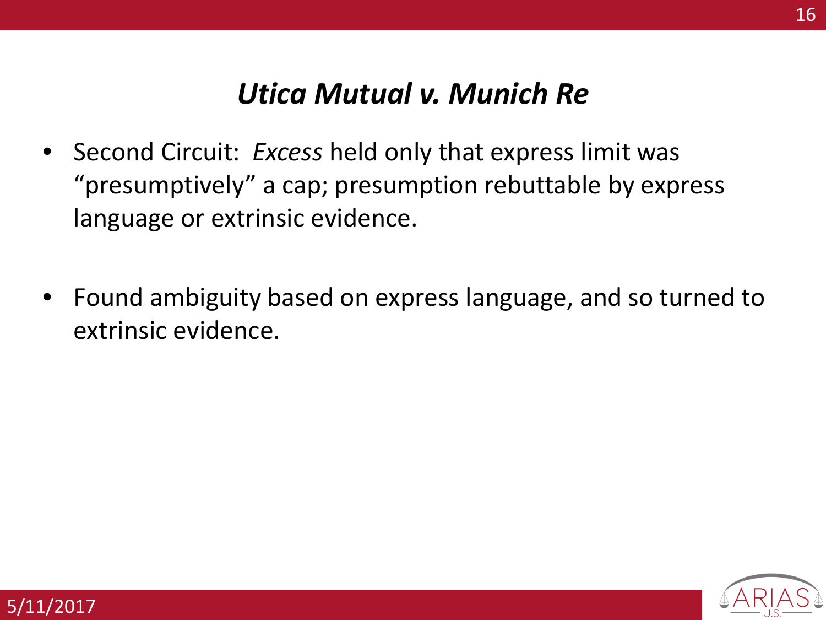#### *Utica Mutual v. Munich Re*

- Second Circuit: *Excess* held only that express limit was "presumptively" a cap; presumption rebuttable by express language or extrinsic evidence.
- Found ambiguity based on express language, and so turned to extrinsic evidence.



16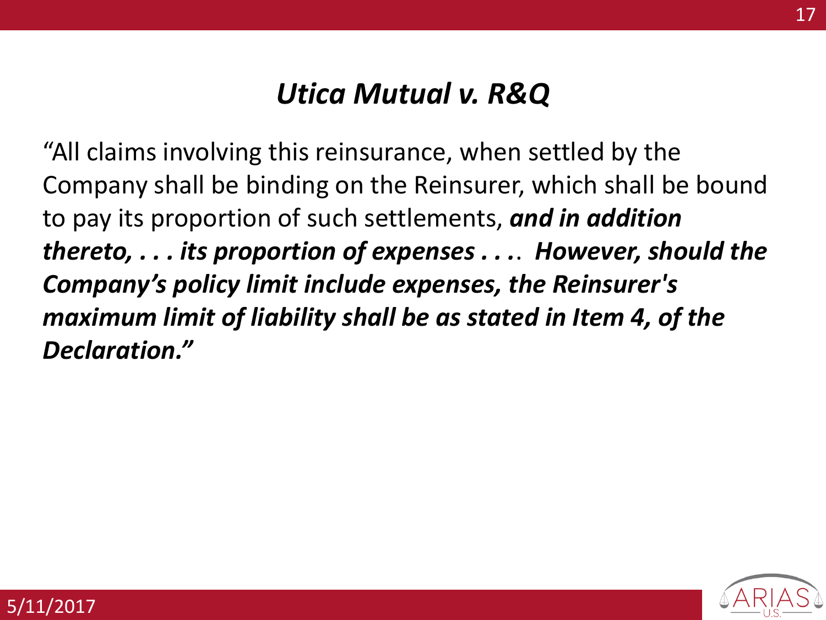### *Utica Mutual v. R&Q*

"All claims involving this reinsurance, when settled by the Company shall be binding on the Reinsurer, which shall be bound to pay its proportion of such settlements, *and in addition thereto, . . . its proportion of expenses . . .*. *However, should the Company's policy limit include expenses, the Reinsurer's maximum limit of liability shall be as stated in Item 4, of the Declaration."*

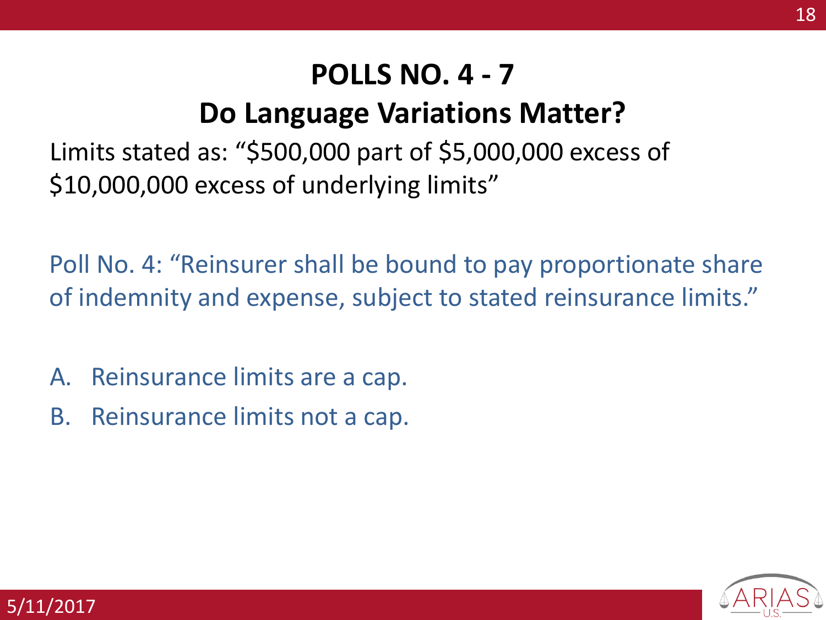# **Do Language Variations Matter?**

Limits stated as: "\$500,000 part of \$5,000,000 excess of \$10,000,000 excess of underlying limits"

Poll No. 4: "Reinsurer shall be bound to pay proportionate share of indemnity and expense, subject to stated reinsurance limits."

- A. Reinsurance limits are a cap.
- B. Reinsurance limits not a cap.

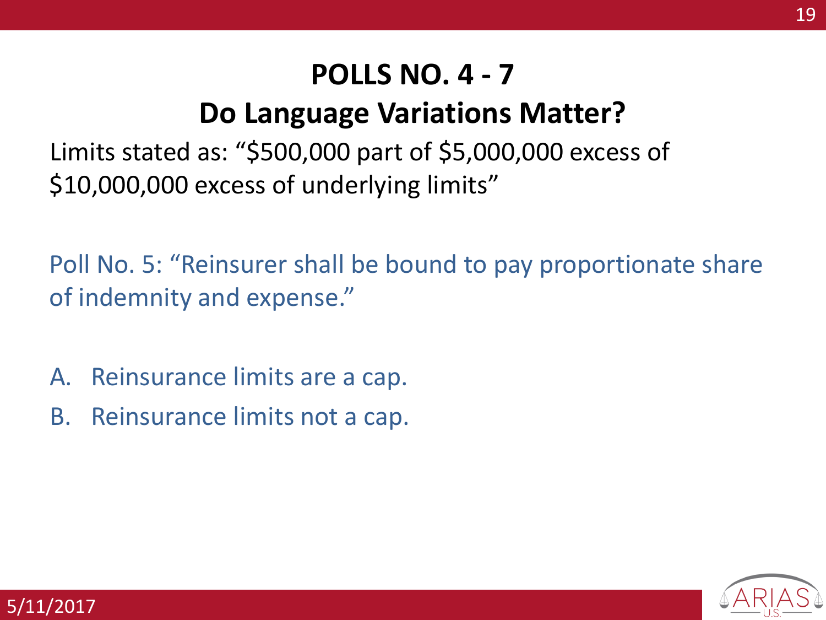# **Do Language Variations Matter?**

Limits stated as: "\$500,000 part of \$5,000,000 excess of \$10,000,000 excess of underlying limits"

Poll No. 5: "Reinsurer shall be bound to pay proportionate share of indemnity and expense."

- A. Reinsurance limits are a cap.
- B. Reinsurance limits not a cap.

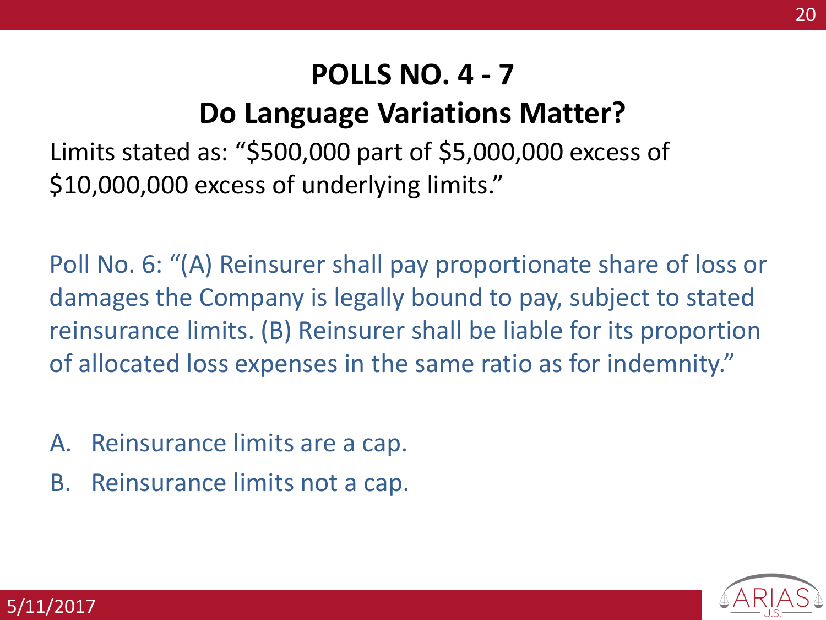# **Do Language Variations Matter?**

Limits stated as: "\$500,000 part of \$5,000,000 excess of \$10,000,000 excess of underlying limits."

Poll No. 6: "(A) Reinsurer shall pay proportionate share of loss or damages the Company is legally bound to pay, subject to stated reinsurance limits. (B) Reinsurer shall be liable for its proportion of allocated loss expenses in the same ratio as for indemnity."

- A. Reinsurance limits are a cap.
- B. Reinsurance limits not a cap.

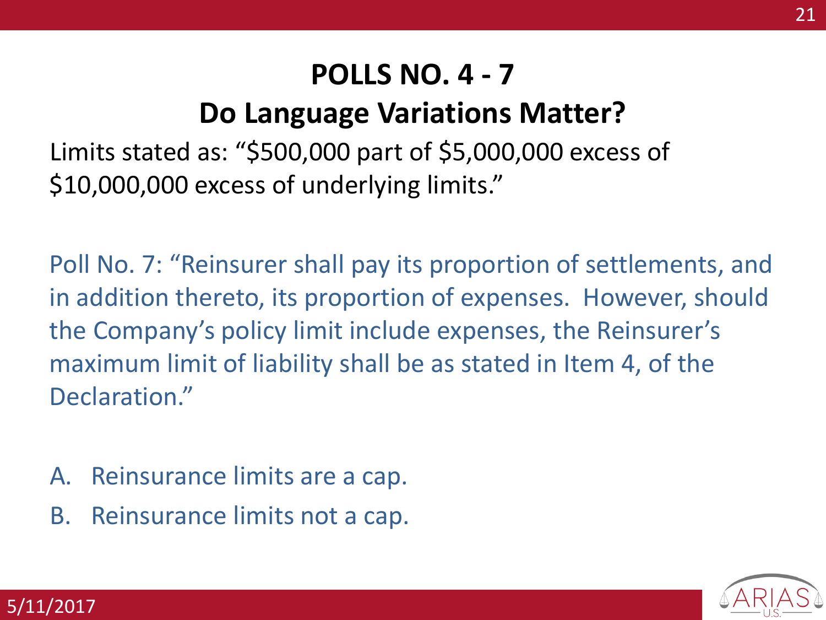# **Do Language Variations Matter?**

Limits stated as: "\$500,000 part of \$5,000,000 excess of \$10,000,000 excess of underlying limits."

Poll No. 7: "Reinsurer shall pay its proportion of settlements, and in addition thereto, its proportion of expenses. However, should the Company's policy limit include expenses, the Reinsurer's maximum limit of liability shall be as stated in Item 4, of the Declaration."

- A. Reinsurance limits are a cap.
- B. Reinsurance limits not a cap.

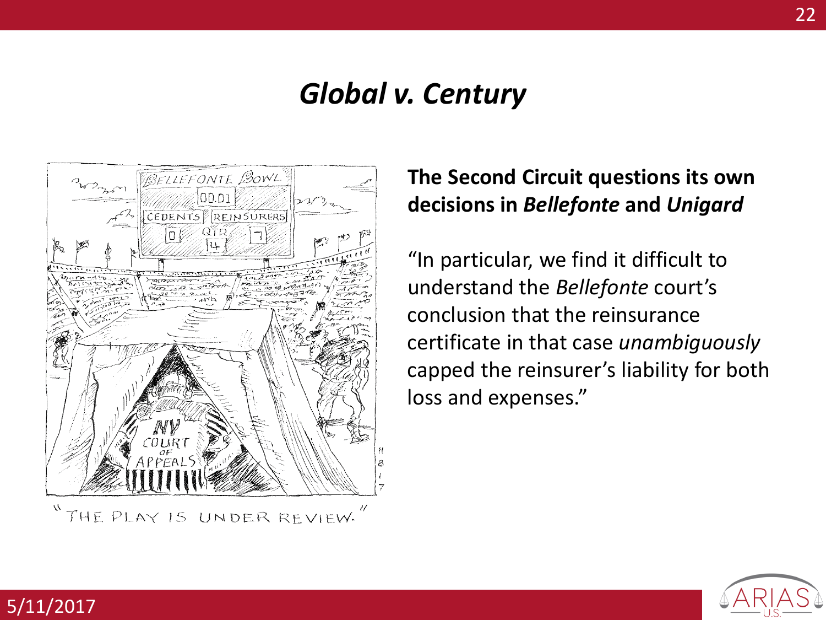

5/11/2017

**The Second Circuit questions its own decisions in** *Bellefonte* **and** *Unigard*

"In particular, we find it difficult to understand the *Bellefonte* court's conclusion that the reinsurance certificate in that case *unambiguously*  capped the reinsurer's liability for both loss and expenses."

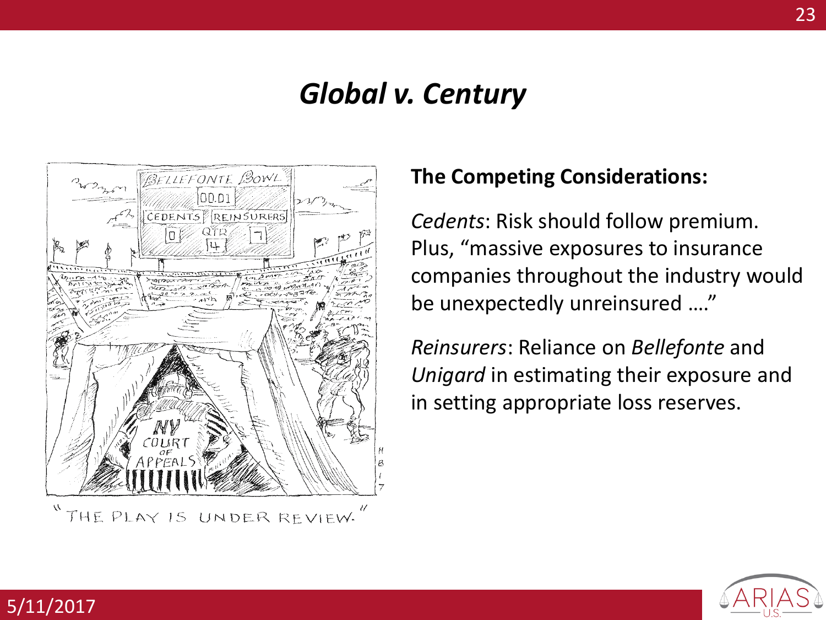

THE PLAY IS UNDER REVIEW.

5/11/2017

#### **The Competing Considerations:**

*Cedents*: Risk should follow premium. Plus, "massive exposures to insurance companies throughout the industry would be unexpectedly unreinsured …."

*Reinsurers*: Reliance on *Bellefonte* and *Unigard* in estimating their exposure and in setting appropriate loss reserves.

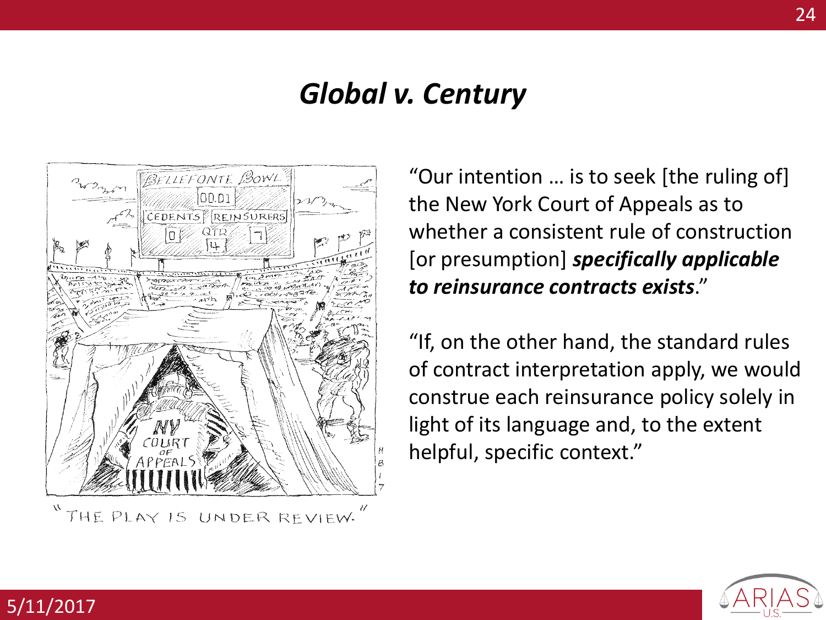

THE PLAY IS UNDER REVIEW.

5/11/2017

"Our intention … is to seek [the ruling of] the New York Court of Appeals as to whether a consistent rule of construction [or presumption] *specifically applicable to reinsurance contracts exists*."

"If, on the other hand, the standard rules of contract interpretation apply, we would construe each reinsurance policy solely in light of its language and, to the extent helpful, specific context."

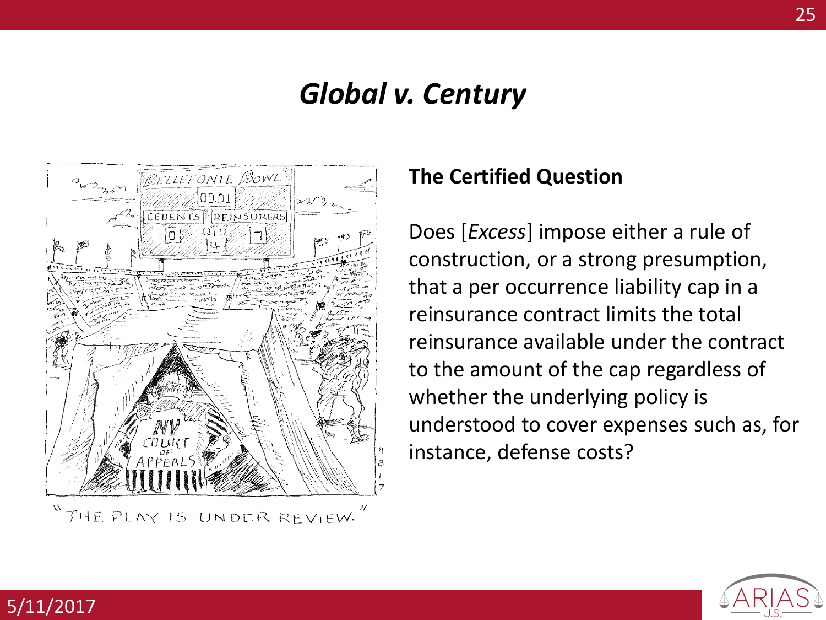

THE PLAY IS UNDER REVIEW.

5/11/2017

#### **The Certified Question**

Does [*Excess*] impose either a rule of construction, or a strong presumption, that a per occurrence liability cap in a reinsurance contract limits the total reinsurance available under the contract to the amount of the cap regardless of whether the underlying policy is understood to cover expenses such as, for instance, defense costs?

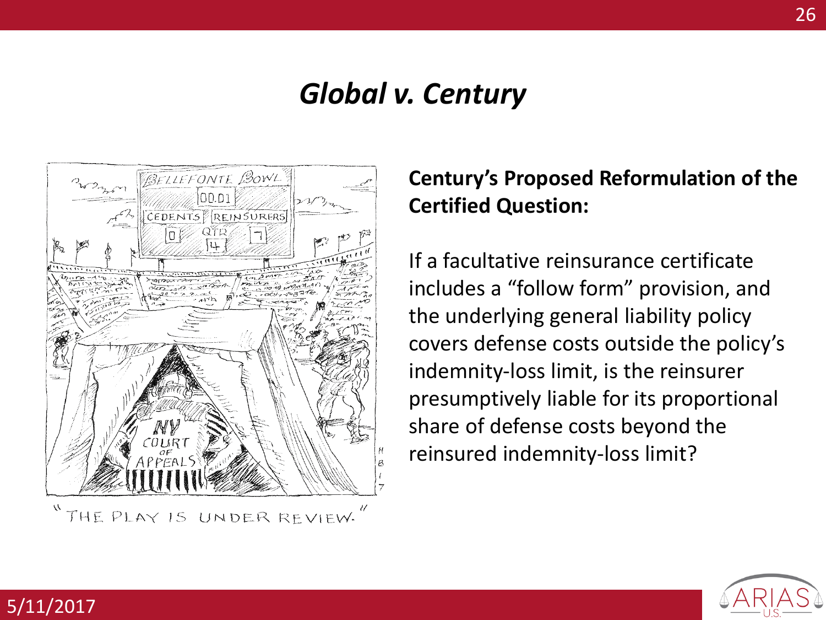

THE PLAY IS UNDER REVIEW.

5/11/2017

#### **Century's Proposed Reformulation of the Certified Question:**

If a facultative reinsurance certificate includes a "follow form" provision, and the underlying general liability policy covers defense costs outside the policy's indemnity-loss limit, is the reinsurer presumptively liable for its proportional share of defense costs beyond the reinsured indemnity-loss limit?

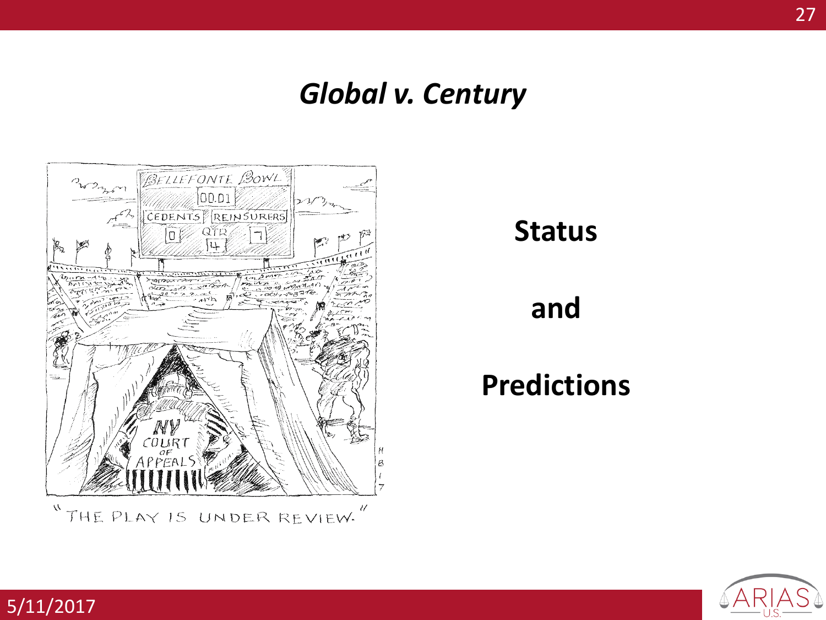

5/11/2017

#### **Status**

#### **and**

# **Predictions**

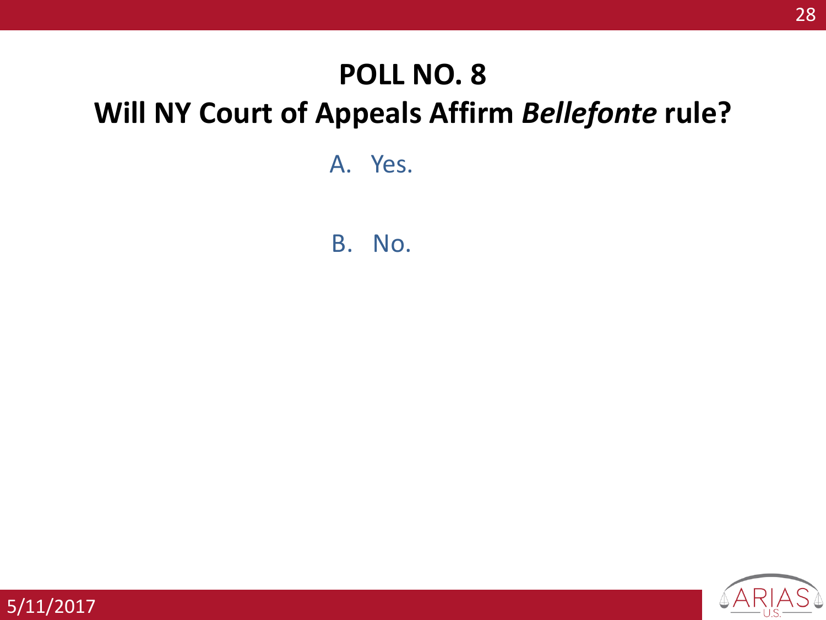## **POLL NO. 8**

# **Will NY Court of Appeals Affirm** *Bellefonte* **rule?**

A. Yes.

B. No.

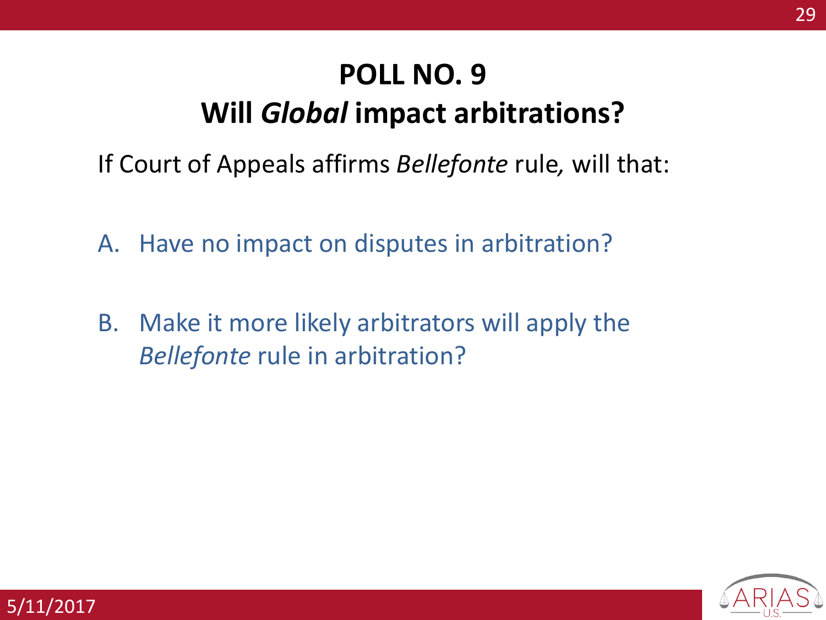# **POLL NO. 9 Will** *Global* **impact arbitrations?**

- If Court of Appeals affirms *Bellefonte* rule*,* will that:
- A. Have no impact on disputes in arbitration?
- B. Make it more likely arbitrators will apply the *Bellefonte* rule in arbitration?